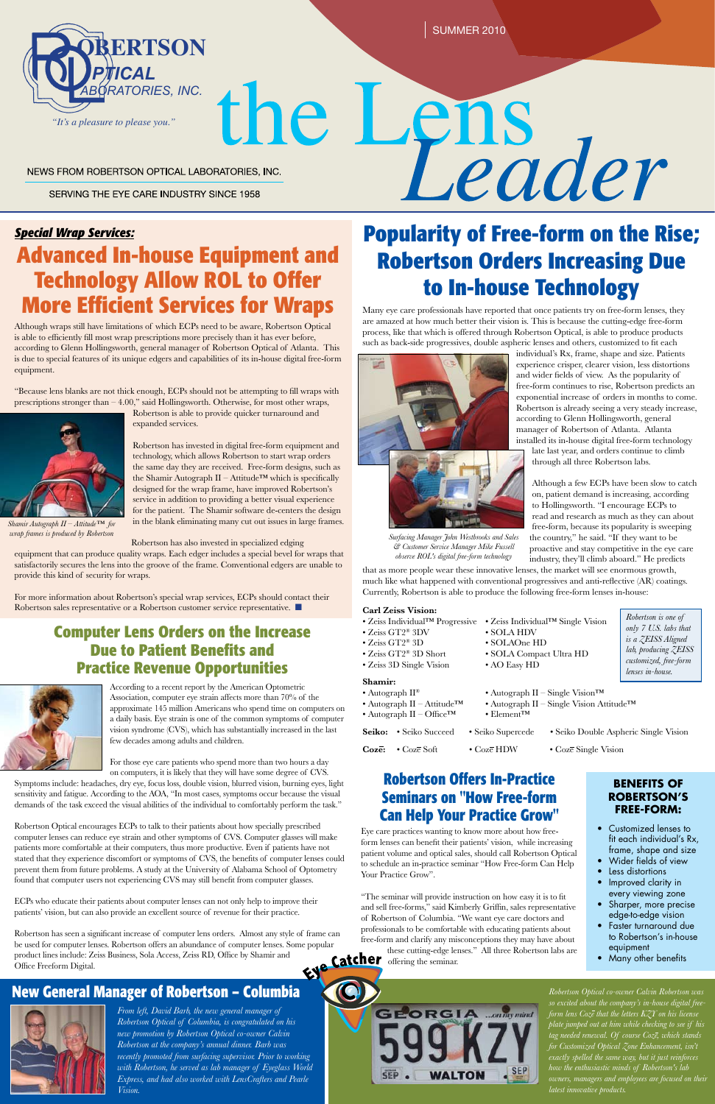Many eye care professionals have reported that once patients try on free-form lenses, they are amazed at how much better their vision is. This is because the cutting-edge free-form process, like that which is offered through Robertson Optical, is able to produce products such as back-side progressives, double aspheric lenses and others, customized to fit each



individual's Rx, frame, shape and size. Patients experience crisper, clearer vision, less distortions and wider fields of view. As the popularity of free-form continues to rise, Robertson predicts an exponential increase of orders in months to come. Robertson is already seeing a very steady increase, according to Glenn Hollingsworth, general manager of Robertson of Atlanta. Atlanta installed its in-house digital free-form technology

- Zeiss Individual™ Progressive Zeiss Individual™ Single Vision
- Zeiss GT2® 3DV SOLA HDV
- Zeiss GT2® 3D SOLAOne HD
- Zeiss GT2® 3D Short SOLA Compact Ultra HD
- Zeiss 3D Single Vision AO Easy HD

late last year, and orders continue to climb through all three Robertson labs.

- Autograph II® Autograph II Single Vision™
- Autograph II Attitude™ Autograph II Single Vision Attitude™
- Autograph  $II \text{Office}^{TM}$  Element<sup> $TM$ </sup>
- 
- 
- 

Although a few ECPs have been slow to catch on, patient demand is increasing, according to Hollingsworth. "I encourage ECPs to read and research as much as they can about free-form, because its popularity is sweeping the country," he said. "If they want to be proactive and stay competitive in the eye care industry, they'll climb aboard." He predicts

that as more people wear these innovative lenses, the market will see enormous growth, much like what happened with conventional progressives and anti-reflective (AR) coatings. Currently, Robertson is able to produce the following free-form lenses in-house:

prescriptions stronger than  $-4.00$ ," said Hollingsworth. Otherwise, for most other wraps, Robertson is able to provide quicker turnaround and expanded services.

#### **Carl Zeiss Vision:**

#### **Shamir:**

For more information about Robertson's special wrap services, ECPs should contact their Robertson sales representative or a Robertson customer service representative.  $\blacksquare$ 

**Seiko:** • Seiko Succeed • Seiko Supercede • Seiko Double Aspheric Single Vision

Coze: • Coze Soft • Coze HDW • Coze Single Vision



*Special Wrap Services:*

**Advanced In-house Equipment and** 

Eye care practices wanting to know more about how freeform lenses can benefit their patients' vision, while increasing patient volume and optical sales, should call Robertson Optical to schedule an in-practice seminar "How Free-form Can Help Your Practice Grow".

**Technology Allow ROL to Offer** 

**More Efficient Services for Wraps**



NEWS FROM ROBERTSON OPTICAL LABORATORIES, INC.

SERVING THE EYE CARE INDUSTRY SINCE 1958

Although wraps still have limitations of which ECPs need to be aware, Robertson Optical is able to efficiently fill most wrap prescriptions more precisely than it has ever before, according to Glenn Hollingsworth, general manager of Robertson Optical of Atlanta. This is due to special features of its unique edgers and capabilities of its in-house digital free-form

# the Lens **Popularity of Free-form on the Rise; Robertson Orders Increasing Due to In-house Technology**

equipment.

"Because lens blanks are not thick enough, ECPs should not be attempting to fill wraps with

Robertson has invested in digital free-form equipment and technology, which allows Robertson to start wrap orders the same day they are received. Free-form designs, such as the Shamir Autograph II – Attitude<sup>™</sup> which is specifically designed for the wrap frame, have improved Robertson's service in addition to providing a better visual experience for the patient. The Shamir software de-centers the design in the blank eliminating many cut out issues in large frames.

Robertson has also invested in specialized edging equipment that can produce quality wraps. Each edger includes a special bevel for wraps that satisfactorily secures the lens into the groove of the frame. Conventional edgers are unable to provide this kind of security for wraps.

- Customized lenses to fit each individual's Rx, frame, shape and size
- Wider fields of view
- Less distortions
- Improved clarity in every viewing zone
- • Sharper, more precise edge-to-edge vision
- • Faster turnaround due to Robertson's in-house equipment
- • Many other benefits

*From left, David Barb, the new general manager of Robertson Optical of Columbia, is congratulated on his new promotion by Robertson Optical co-owner Calvin Robertson at the company's annual dinner. Barb was recently promoted from surfacing supervisor. Prior to working with Robertson, he served as lab manager of Eyeglass World Express, and had also worked with LensCrafters and Pearle Vision.*

"The seminar will provide instruction on how easy it is to fit and sell free-forms," said Kimberly Griffin, sales representative of Robertson of Columbia. "We want eye care doctors and professionals to be comfortable with educating patients about free-form and clarify any misconceptions they may have about these cutting-edge lenses." All three Robertson labs are offering the seminar.



According to a recent report by the American Optometric Association, computer eye strain affects more than 70% of the approximate 145 million Americans who spend time on computers on a daily basis. Eye strain is one of the common symptoms of computer vision syndrome (CVS), which has substantially increased in the last few decades among adults and children.

For those eye care patients who spend more than two hours a day

on computers, it is likely that they will have some degree of CVS. Symptoms include: headaches, dry eye, focus loss, double vision, blurred vision, burning eyes, light sensitivity and fatigue. According to the AOA, "In most cases, symptoms occur because the visual demands of the task exceed the visual abilities of the individual to comfortably perform the task."

Robertson Optical encourages ECPs to talk to their patients about how specially prescribed computer lenses can reduce eye strain and other symptoms of CVS. Computer glasses will make patients more comfortable at their computers, thus more productive. Even if patients have not stated that they experience discomfort or symptoms of CVS, the benefits of computer lenses could prevent them from future problems. A study at the University of Alabama School of Optometry found that computer users not experiencing CVS may still benefit from computer glasses.

ECPs who educate their patients about computer lenses can not only help to improve their patients' vision, but can also provide an excellent source of revenue for their practice.

Robertson has seen a significant increase of computer lens orders. Almost any style of frame can be used for computer lenses. Robertson offers an abundance of computer lenses. Some popular product lines include: Zeiss Business, Sola Access, Zeiss RD, Office by Shamir and Office Freeform Digital. product lines include: Zeiss Business, Sola Access, Zeiss RD, Office by Shamir and Office Freeform Digital.

### **Computer Lens Orders on the Increase Due to Patient Benefits and Practice Revenue Opportunities**



#### **BENEFITS OF ROBERTSON'S FREE-FORM:**

### **Robertson Offers In-Practice Seminars on "How Free-form**

#### **Can Help Your Practice Grow"**

*Robertson Optical co-owner Calvin Robertson was so excited about the company's in-house digital freeform lens Coze that the letters KZY on his license plate jumped out at him while checking to see if his tag needed renewal. Of course Coze, which stands for Customized Optical Zone Enhancement, isn't exactly spelled the same way, but it just reinforces how the enthusiastic minds of Robertson's lab owners, managers and employees are focused on their latest innovative products.*

*Shamir Autograph II – Attitude™ for*

*wrap frames is produced by Robertson Surfacing Manager John Westbrooks and Sales* 

*& Customer Service Manager Mike Fussell observe ROL's digital free-form technology*

### **New General Manager of Robertson – Columbia**